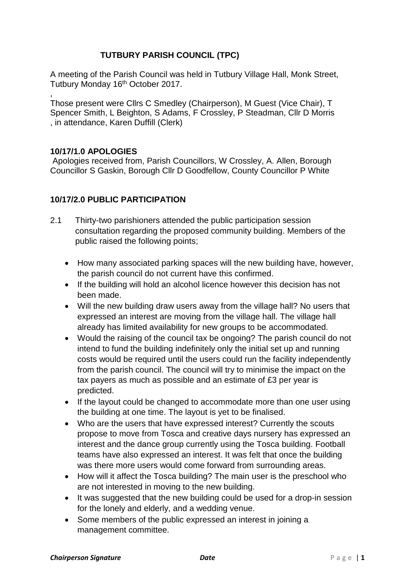# **TUTBURY PARISH COUNCIL (TPC)**

A meeting of the Parish Council was held in Tutbury Village Hall, Monk Street, Tutbury Monday 16<sup>th</sup> October 2017.

, Those present were Cllrs C Smedley (Chairperson), M Guest (Vice Chair), T Spencer Smith, L Beighton, S Adams, F Crossley, P Steadman, Cllr D Morris , in attendance, Karen Duffill (Clerk)

# **10/17/1.0 APOLOGIES**

Apologies received from, Parish Councillors, W Crossley, A. Allen, Borough Councillor S Gaskin, Borough Cllr D Goodfellow, County Councillor P White

# **10/17/2.0 PUBLIC PARTICIPATION**

- 2.1 Thirty-two parishioners attended the public participation session consultation regarding the proposed community building. Members of the public raised the following points;
	- How many associated parking spaces will the new building have, however, the parish council do not current have this confirmed.
	- If the building will hold an alcohol licence however this decision has not been made.
	- Will the new building draw users away from the village hall? No users that expressed an interest are moving from the village hall. The village hall already has limited availability for new groups to be accommodated.
	- Would the raising of the council tax be ongoing? The parish council do not intend to fund the building indefinitely only the initial set up and running costs would be required until the users could run the facility independently from the parish council. The council will try to minimise the impact on the tax payers as much as possible and an estimate of £3 per year is predicted.
	- If the layout could be changed to accommodate more than one user using the building at one time. The layout is yet to be finalised.
	- Who are the users that have expressed interest? Currently the scouts propose to move from Tosca and creative days nursery has expressed an interest and the dance group currently using the Tosca building. Football teams have also expressed an interest. It was felt that once the building was there more users would come forward from surrounding areas.
	- How will it affect the Tosca building? The main user is the preschool who are not interested in moving to the new building.
	- It was suggested that the new building could be used for a drop-in session for the lonely and elderly, and a wedding venue.
	- Some members of the public expressed an interest in joining a management committee.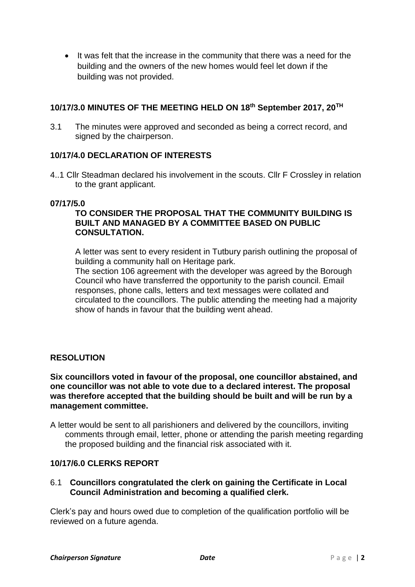• It was felt that the increase in the community that there was a need for the building and the owners of the new homes would feel let down if the building was not provided.

## **10/17/3.0 MINUTES OF THE MEETING HELD ON 18th September 2017, 20TH**

3.1 The minutes were approved and seconded as being a correct record, and signed by the chairperson.

# **10/17/4.0 DECLARATION OF INTERESTS**

4..1 Cllr Steadman declared his involvement in the scouts. Cllr F Crossley in relation to the grant applicant.

#### **07/17/5.0**

# **TO CONSIDER THE PROPOSAL THAT THE COMMUNITY BUILDING IS BUILT AND MANAGED BY A COMMITTEE BASED ON PUBLIC CONSULTATION.**

A letter was sent to every resident in Tutbury parish outlining the proposal of building a community hall on Heritage park.

The section 106 agreement with the developer was agreed by the Borough Council who have transferred the opportunity to the parish council. Email responses, phone calls, letters and text messages were collated and circulated to the councillors. The public attending the meeting had a majority show of hands in favour that the building went ahead.

### **RESOLUTION**

#### **Six councillors voted in favour of the proposal, one councillor abstained, and one councillor was not able to vote due to a declared interest. The proposal was therefore accepted that the building should be built and will be run by a management committee.**

A letter would be sent to all parishioners and delivered by the councillors, inviting comments through email, letter, phone or attending the parish meeting regarding the proposed building and the financial risk associated with it.

## **10/17/6.0 CLERKS REPORT**

### 6.1 **Councillors congratulated the clerk on gaining the Certificate in Local Council Administration and becoming a qualified clerk.**

Clerk's pay and hours owed due to completion of the qualification portfolio will be reviewed on a future agenda.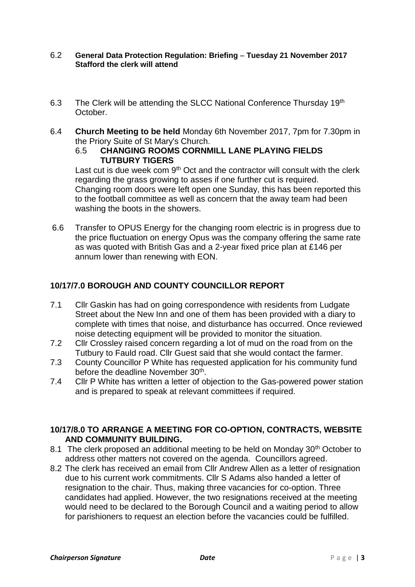#### 6.2 **General Data Protection Regulation: Briefing – Tuesday 21 November 2017 Stafford the clerk will attend**

- 6.3 The Clerk will be attending the SLCC National Conference Thursday 19<sup>th</sup> October.
- 6.4 **Church Meeting to be held** Monday 6th November 2017, 7pm for 7.30pm in the Priory Suite of St Mary's Church.
	- 6.5 **CHANGING ROOMS CORNMILL LANE PLAYING FIELDS TUTBURY TIGERS**

Last cut is due week com  $9<sup>th</sup>$  Oct and the contractor will consult with the clerk regarding the grass growing to asses if one further cut is required. Changing room doors were left open one Sunday, this has been reported this to the football committee as well as concern that the away team had been washing the boots in the showers.

6.6 Transfer to OPUS Energy for the changing room electric is in progress due to the price fluctuation on energy Opus was the company offering the same rate as was quoted with British Gas and a 2-year fixed price plan at £146 per annum lower than renewing with EON.

# **10/17/7.0 BOROUGH AND COUNTY COUNCILLOR REPORT**

- 7.1 Cllr Gaskin has had on going correspondence with residents from Ludgate Street about the New Inn and one of them has been provided with a diary to complete with times that noise, and disturbance has occurred. Once reviewed noise detecting equipment will be provided to monitor the situation.
- 7.2 Cllr Crossley raised concern regarding a lot of mud on the road from on the Tutbury to Fauld road. Cllr Guest said that she would contact the farmer.
- 7.3 County Councillor P White has requested application for his community fund before the deadline November 30<sup>th</sup>.
- 7.4 Cllr P White has written a letter of objection to the Gas-powered power station and is prepared to speak at relevant committees if required.

### **10/17/8.0 TO ARRANGE A MEETING FOR CO-OPTION, CONTRACTS, WEBSITE AND COMMUNITY BUILDING.**

- 8.1 The clerk proposed an additional meeting to be held on Monday 30<sup>th</sup> October to address other matters not covered on the agenda. Councillors agreed.
- 8.2 The clerk has received an email from Cllr Andrew Allen as a letter of resignation due to his current work commitments. Cllr S Adams also handed a letter of resignation to the chair. Thus, making three vacancies for co-option. Three candidates had applied. However, the two resignations received at the meeting would need to be declared to the Borough Council and a waiting period to allow for parishioners to request an election before the vacancies could be fulfilled.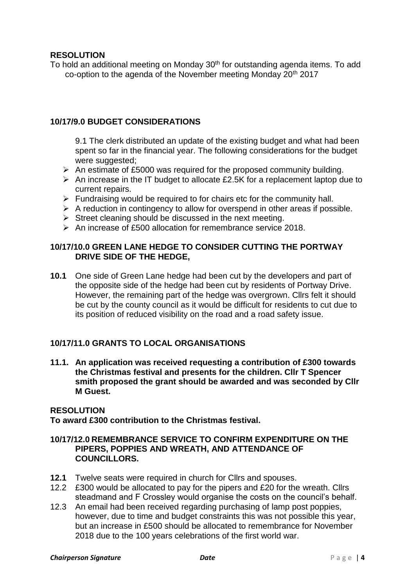# **RESOLUTION**

To hold an additional meeting on Monday 30<sup>th</sup> for outstanding agenda items. To add co-option to the agenda of the November meeting Monday 20th 2017

### **10/17/9.0 BUDGET CONSIDERATIONS**

9.1 The clerk distributed an update of the existing budget and what had been spent so far in the financial year. The following considerations for the budget were suggested;

- $\triangleright$  An estimate of £5000 was required for the proposed community building.
- $\triangleright$  An increase in the IT budget to allocate £2.5K for a replacement laptop due to current repairs.
- ➢ Fundraising would be required to for chairs etc for the community hall.
- $\triangleright$  A reduction in contingency to allow for overspend in other areas if possible.
- $\triangleright$  Street cleaning should be discussed in the next meeting.
- ➢ An increase of £500 allocation for remembrance service 2018.

## **10/17/10.0 GREEN LANE HEDGE TO CONSIDER CUTTING THE PORTWAY DRIVE SIDE OF THE HEDGE,**

**10.1** One side of Green Lane hedge had been cut by the developers and part of the opposite side of the hedge had been cut by residents of Portway Drive. However, the remaining part of the hedge was overgrown. Cllrs felt it should be cut by the county council as it would be difficult for residents to cut due to its position of reduced visibility on the road and a road safety issue.

### **10/17/11.0 GRANTS TO LOCAL ORGANISATIONS**

**11.1. An application was received requesting a contribution of £300 towards the Christmas festival and presents for the children. Cllr T Spencer smith proposed the grant should be awarded and was seconded by Cllr M Guest.**

#### **RESOLUTION**

**To award £300 contribution to the Christmas festival.**

### **10/17/12.0 REMEMBRANCE SERVICE TO CONFIRM EXPENDITURE ON THE PIPERS, POPPIES AND WREATH, AND ATTENDANCE OF COUNCILLORS.**

- **12.1** Twelve seats were required in church for Cllrs and spouses.
- 12.2 £300 would be allocated to pay for the pipers and £20 for the wreath. Cllrs steadmand and F Crossley would organise the costs on the council's behalf.
- 12.3 An email had been received regarding purchasing of lamp post poppies, however, due to time and budget constraints this was not possible this year, but an increase in £500 should be allocated to remembrance for November 2018 due to the 100 years celebrations of the first world war.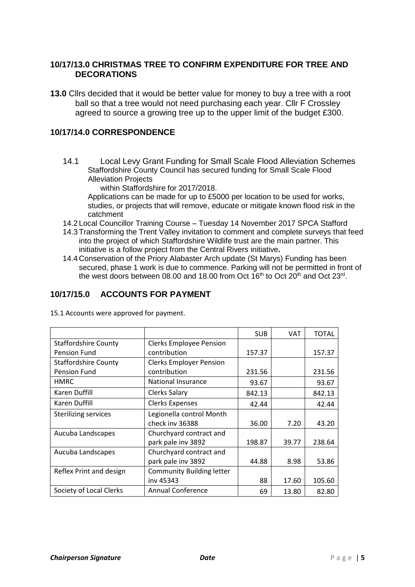## **10/17/13.0 CHRISTMAS TREE TO CONFIRM EXPENDITURE FOR TREE AND DECORATIONS**

**13.0** Cllrs decided that it would be better value for money to buy a tree with a root ball so that a tree would not need purchasing each year. Cllr F Crossley agreed to source a growing tree up to the upper limit of the budget £300.

# **10/17/14.0 CORRESPONDENCE**

14.1 Local Levy Grant Funding for Small Scale Flood Alleviation Schemes Staffordshire County Council has secured funding for Small Scale Flood Alleviation Projects

within Staffordshire for 2017/2018.

Applications can be made for up to £5000 per location to be used for works, studies, or projects that will remove, educate or mitigate known flood risk in the catchment

- 14.2 Local Councillor Training Course Tuesday 14 November 2017 SPCA Stafford
- 14.3 Transforming the Trent Valley invitation to comment and complete surveys that feed into the project of which Staffordshire Wildlife trust are the main partner. This initiative is a follow project from the Central Rivers initiative.
- 14.4 Conservation of the Priory Alabaster Arch update (St Marys) Funding has been secured, phase 1 work is due to commence. Parking will not be permitted in front of the west doors between 08.00 and 18.00 from Oct 16<sup>th</sup> to Oct 20<sup>th</sup> and Oct 23<sup>rd</sup>.

# **10/17/15.0 ACCOUNTS FOR PAYMENT**

|                             |                                  | <b>SUB</b> | <b>VAT</b> | <b>TOTAL</b> |
|-----------------------------|----------------------------------|------------|------------|--------------|
| <b>Staffordshire County</b> | <b>Clerks Employee Pension</b>   |            |            |              |
| Pension Fund                | contribution                     | 157.37     |            | 157.37       |
| <b>Staffordshire County</b> | <b>Clerks Employer Pension</b>   |            |            |              |
| Pension Fund                | contribution                     | 231.56     |            | 231.56       |
| <b>HMRC</b>                 | <b>National Insurance</b>        | 93.67      |            | 93.67        |
| Karen Duffill               | Clerks Salary                    | 842.13     |            | 842.13       |
| Karen Duffill               | <b>Clerks Expenses</b>           | 42.44      |            | 42.44        |
| <b>Sterilizing services</b> | Legionella control Month         |            |            |              |
|                             | check inv 36388                  | 36.00      | 7.20       | 43.20        |
| Aucuba Landscapes           | Churchyard contract and          |            |            |              |
|                             | park pale inv 3892               | 198.87     | 39.77      | 238.64       |
| Aucuba Landscapes           | Churchyard contract and          |            |            |              |
|                             | park pale inv 3892               | 44.88      | 8.98       | 53.86        |
| Reflex Print and design     | <b>Community Building letter</b> |            |            |              |
|                             | inv 45343                        | 88         | 17.60      | 105.60       |
| Society of Local Clerks     | <b>Annual Conference</b>         | 69         | 13.80      | 82.80        |

15.1 Accounts were approved for payment.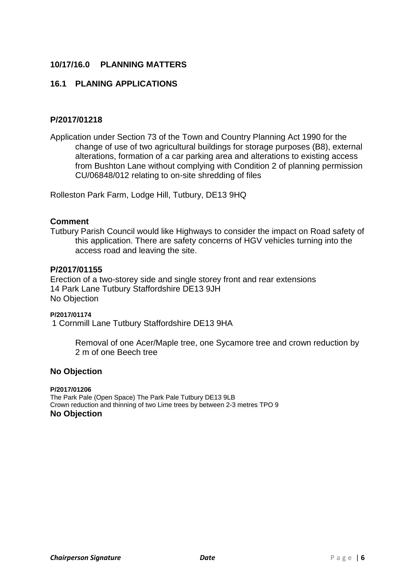# **10/17/16.0 PLANNING MATTERS**

## **16.1 PLANING APPLICATIONS**

# **P/2017/01218**

Application under Section 73 of the Town and Country Planning Act 1990 for the change of use of two agricultural buildings for storage purposes (B8), external alterations, formation of a car parking area and alterations to existing access from Bushton Lane without complying with Condition 2 of planning permission CU/06848/012 relating to on-site shredding of files

Rolleston Park Farm, Lodge Hill, Tutbury, DE13 9HQ

#### **Comment**

Tutbury Parish Council would like Highways to consider the impact on Road safety of this application. There are safety concerns of HGV vehicles turning into the access road and leaving the site.

#### **P/2017/01155**

Erection of a two-storey side and single storey front and rear extensions 14 Park Lane Tutbury Staffordshire DE13 9JH No Objection

**P/2017/01174** 1 Cornmill Lane Tutbury Staffordshire DE13 9HA

> Removal of one Acer/Maple tree, one Sycamore tree and crown reduction by 2 m of one Beech tree

#### **No Objection**

**P/2017/01206** The Park Pale (Open Space) The Park Pale Tutbury DE13 9LB Crown reduction and thinning of two Lime trees by between 2-3 metres TPO 9 **No Objection**